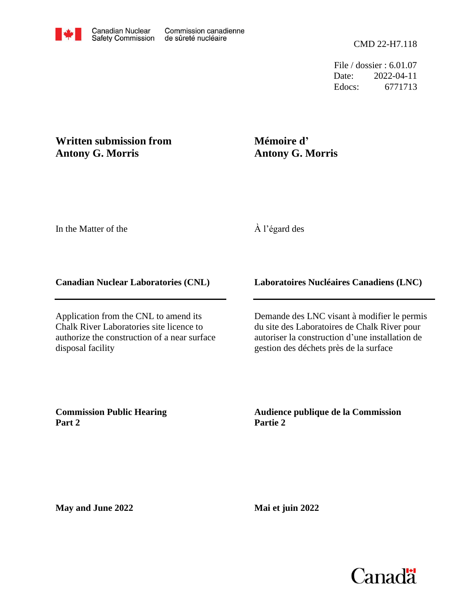File / dossier : 6.01.07 Date: 2022-04-11 Edocs: 6771713

# **Written submission from Antony G. Morris**

# **Mémoire d' Antony G. Morris**

In the Matter of the

## À l'égard des

#### **Canadian Nuclear Laboratories (CNL)**

Application from the CNL to amend its Chalk River Laboratories site licence to authorize the construction of a near surface disposal facility

### **Laboratoires Nucléaires Canadiens (LNC)**

Demande des LNC visant à modifier le permis du site des Laboratoires de Chalk River pour autoriser la construction d'une installation de gestion des déchets près de la surface

**Commission Public Hearing Part 2**

### **Audience publique de la Commission Partie 2**

**May and June 2022**

**Mai et juin 2022**